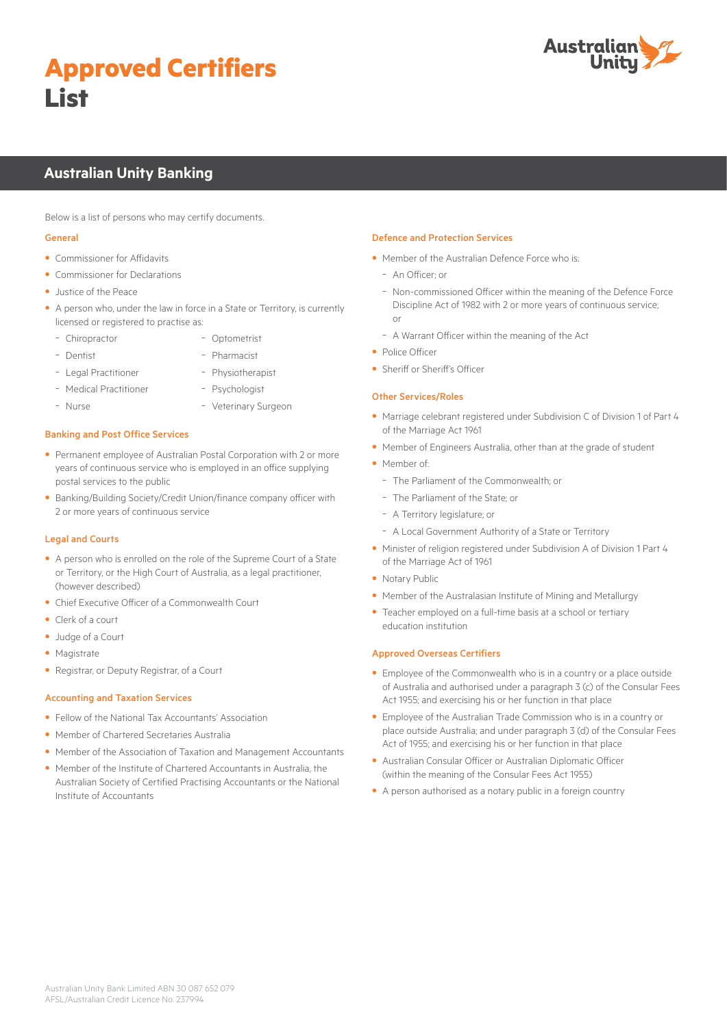# **Approved Certifiers List**



# **Australian Unity Banking**

Below is a list of persons who may certify documents.

#### General

- Commissioner for Affidavits
- Commissioner for Declarations
- Justice of the Peace
- A person who, under the law in force in a State or Territory, is currently licensed or registered to practise as:
	- Chiropractor - Optometrist
	- Dentist
- Pharmacist
- Legal Practitioner - Medical Practitioner
- Physiotherapist - Psychologist

- Nurse

- Veterinary Surgeon
- Banking and Post Office Services
- Permanent employee of Australian Postal Corporation with 2 or more years of continuous service who is employed in an office supplying postal services to the public
- Banking/Building Society/Credit Union/finance company officer with 2 or more years of continuous service

#### Legal and Courts

- A person who is enrolled on the role of the Supreme Court of a State or Territory, or the High Court of Australia, as a legal practitioner, (however described)
- Chief Executive Officer of a Commonwealth Court
- Clerk of a court
- Judge of a Court
- Magistrate
- Registrar, or Deputy Registrar, of a Court

#### Accounting and Taxation Services

- Fellow of the National Tax Accountants' Association
- Member of Chartered Secretaries Australia
- Member of the Association of Taxation and Management Accountants
- Member of the Institute of Chartered Accountants in Australia, the Australian Society of Certified Practising Accountants or the National Institute of Accountants

#### Defence and Protection Services

- Member of the Australian Defence Force who is:
	- An Officer; or
- Non-commissioned Officer within the meaning of the Defence Force Discipline Act of 1982 with 2 or more years of continuous service; or
- A Warrant Officer within the meaning of the Act
- Police Officer
- Sheriff or Sheriff's Officer

#### Other Services/Roles

- Marriage celebrant registered under Subdivision C of Division 1 of Part 4 of the Marriage Act 1961
- Member of Engineers Australia, other than at the grade of student
- Member of:
	- The Parliament of the Commonwealth; or
	- The Parliament of the State; or
	- A Territory legislature; or
- A Local Government Authority of a State or Territory
- Minister of religion registered under Subdivision A of Division 1 Part 4 of the Marriage Act of 1961
- Notary Public
- Member of the Australasian Institute of Mining and Metallurgy
- Teacher employed on a full-time basis at a school or tertiary education institution

#### Approved Overseas Certifiers

- Employee of the Commonwealth who is in a country or a place outside of Australia and authorised under a paragraph 3 (c) of the Consular Fees Act 1955; and exercising his or her function in that place
- Employee of the Australian Trade Commission who is in a country or place outside Australia; and under paragraph 3 (d) of the Consular Fees Act of 1955; and exercising his or her function in that place
- Australian Consular Officer or Australian Diplomatic Officer (within the meaning of the Consular Fees Act 1955)
- A person authorised as a notary public in a foreign country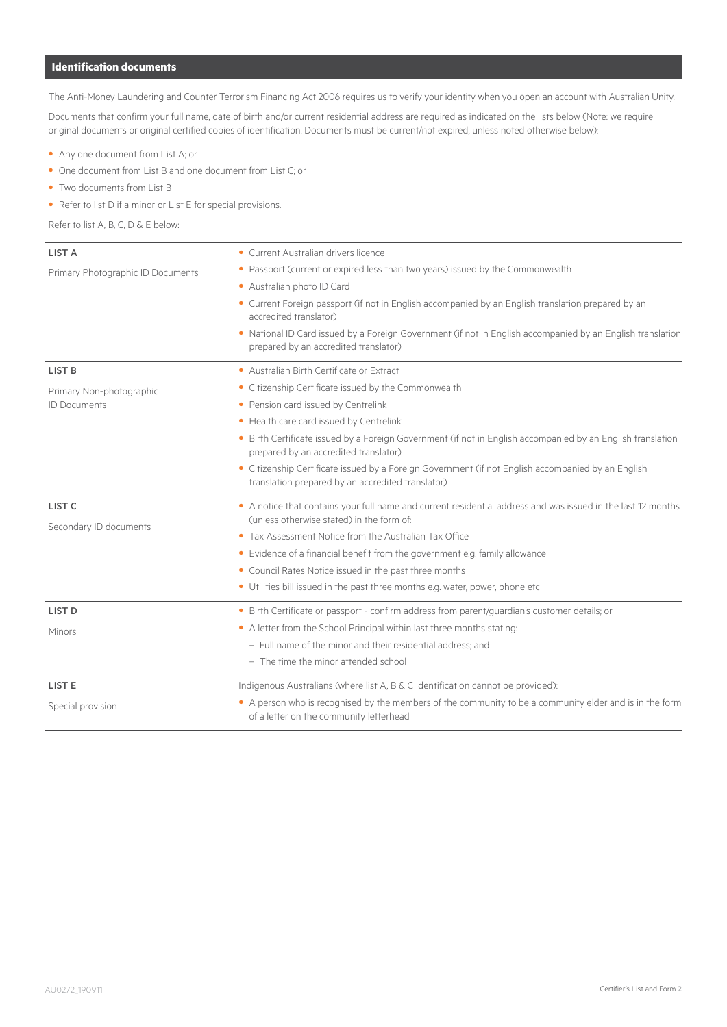# **Identification documents**

The Anti-Money Laundering and Counter Terrorism Financing Act 2006 requires us to verify your identity when you open an account with Australian Unity.

Documents that confirm your full name, date of birth and/or current residential address are required as indicated on the lists below (Note: we require original documents or original certified copies of identification. Documents must be current/not expired, unless noted otherwise below):

- Any one document from List A; or
- One document from List B and one document from List C; or
- Two documents from List B
- Refer to list D if a minor or List E for special provisions.

Refer to list A, B, C, D & E below:

| <b>LIST A</b>                     | • Current Australian drivers licence                                                                                                                      |  |  |
|-----------------------------------|-----------------------------------------------------------------------------------------------------------------------------------------------------------|--|--|
| Primary Photographic ID Documents | • Passport (current or expired less than two years) issued by the Commonwealth<br>• Australian photo ID Card                                              |  |  |
|                                   |                                                                                                                                                           |  |  |
|                                   | • Current Foreign passport (if not in English accompanied by an English translation prepared by an<br>accredited translator)                              |  |  |
|                                   | . National ID Card issued by a Foreign Government (if not in English accompanied by an English translation<br>prepared by an accredited translator)       |  |  |
| <b>LIST B</b>                     | • Australian Birth Certificate or Extract                                                                                                                 |  |  |
| Primary Non-photographic          | • Citizenship Certificate issued by the Commonwealth                                                                                                      |  |  |
| <b>ID Documents</b>               | • Pension card issued by Centrelink                                                                                                                       |  |  |
|                                   | • Health care card issued by Centrelink                                                                                                                   |  |  |
|                                   | • Birth Certificate issued by a Foreign Government (if not in English accompanied by an English translation<br>prepared by an accredited translator)      |  |  |
|                                   | • Citizenship Certificate issued by a Foreign Government (if not English accompanied by an English<br>translation prepared by an accredited translator)   |  |  |
| LIST <sub>C</sub>                 | • A notice that contains your full name and current residential address and was issued in the last 12 months<br>(unless otherwise stated) in the form of: |  |  |
| Secondary ID documents            | • Tax Assessment Notice from the Australian Tax Office                                                                                                    |  |  |
|                                   | • Evidence of a financial benefit from the government e.g. family allowance                                                                               |  |  |
|                                   | • Council Rates Notice issued in the past three months                                                                                                    |  |  |
|                                   | • Utilities bill issued in the past three months e.g. water, power, phone etc                                                                             |  |  |
| <b>LIST D</b>                     | · Birth Certificate or passport - confirm address from parent/guardian's customer details; or                                                             |  |  |
| Minors                            | • A letter from the School Principal within last three months stating:                                                                                    |  |  |
|                                   | - Full name of the minor and their residential address; and                                                                                               |  |  |
|                                   | - The time the minor attended school                                                                                                                      |  |  |
| <b>LIST E</b>                     | Indigenous Australians (where list A, B & C Identification cannot be provided):                                                                           |  |  |
| Special provision                 | • A person who is recognised by the members of the community to be a community elder and is in the form<br>of a letter on the community letterhead        |  |  |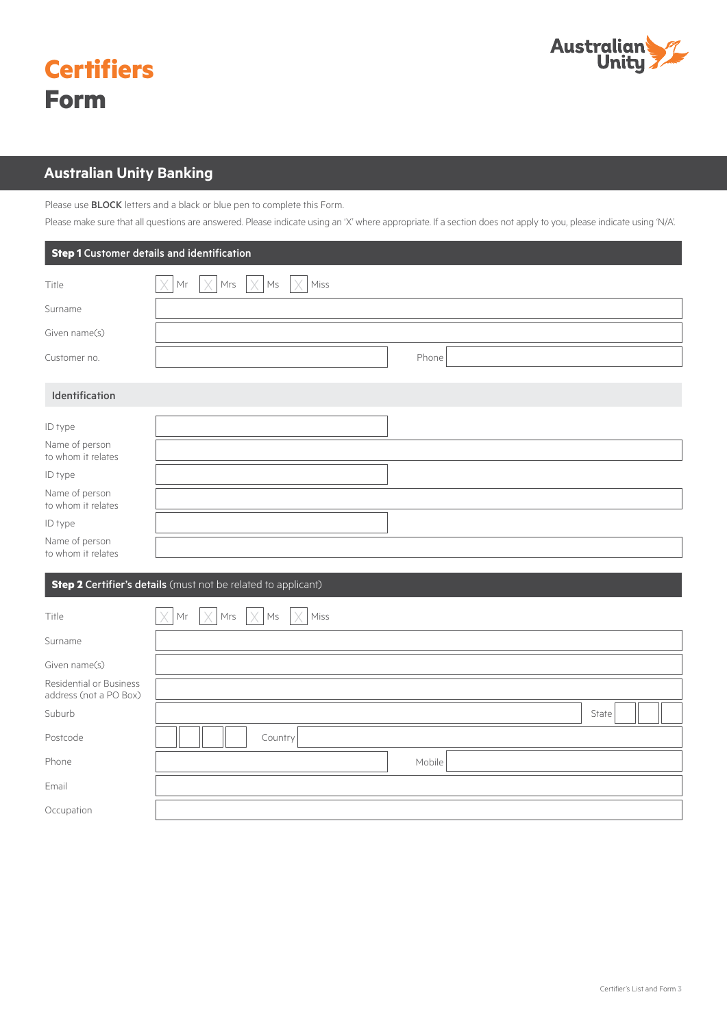

| <b>Certifiers</b> |
|-------------------|
| <b>Form</b>       |

# **Australian Unity Banking**

Please use **BLOCK** letters and a black or blue pen to complete this Form.

Please make sure that all questions are answered. Please indicate using an 'X' where appropriate. If a section does not apply to you, please indicate using 'N/A'.

| <b>Step 1</b> Customer details and identification |                                                  |  |  |
|---------------------------------------------------|--------------------------------------------------|--|--|
| Title                                             | $Mr$ $ \times Mrs$ $ \times Ms $ $ \times Miss $ |  |  |
| Surname                                           |                                                  |  |  |
| Given name(s)                                     |                                                  |  |  |
| Customer no.                                      | Phone                                            |  |  |
| Identification<br>ID type                         |                                                  |  |  |
| Name of person<br>to whom it relates              |                                                  |  |  |
| ID type                                           |                                                  |  |  |
| Name of person<br>to whom it relates              |                                                  |  |  |
| ID type                                           |                                                  |  |  |
| Name of person<br>to whom it relates              |                                                  |  |  |

# **Step 2 Certifier's details** (must not be related to applicant)

| Title                                             | $\times$<br>$Mr$ $ \times $<br>$Mrs$ $\times$ Ms<br>$\vert \times \vert$ Miss |  |
|---------------------------------------------------|-------------------------------------------------------------------------------|--|
| Surname                                           |                                                                               |  |
| Given name(s)                                     |                                                                               |  |
| Residential or Business<br>address (not a PO Box) |                                                                               |  |
| Suburb                                            | State                                                                         |  |
| Postcode                                          | Country                                                                       |  |
| Phone                                             | Mobile                                                                        |  |
| Email                                             |                                                                               |  |
| Occupation                                        |                                                                               |  |